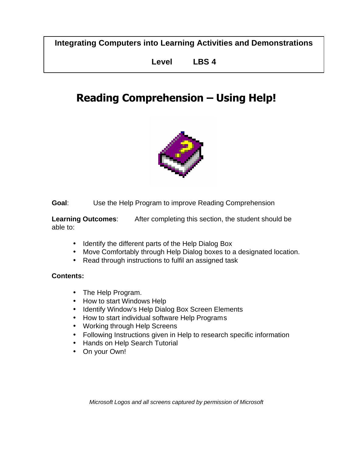**Integrating Computers into Learning Activities and Demonstrations**

**Level LBS 4**

# **Reading Comprehension – Using Help!**



**Goal**: Use the Help Program to improve Reading Comprehension

**Learning Outcomes**: After completing this section, the student should be able to:

- Identify the different parts of the Help Dialog Box
- Move Comfortably through Help Dialog boxes to a designated location.
- Read through instructions to fulfil an assigned task

#### **Contents:**

- The Help Program.
- How to start Windows Help
- Identify Window's Help Dialog Box Screen Elements
- How to start individual software Help Programs
- Working through Help Screens
- Following Instructions given in Help to research specific information
- Hands on Help Search Tutorial
- On your Own!

*Microsoft Logos and all screens captured by permission of Microsoft*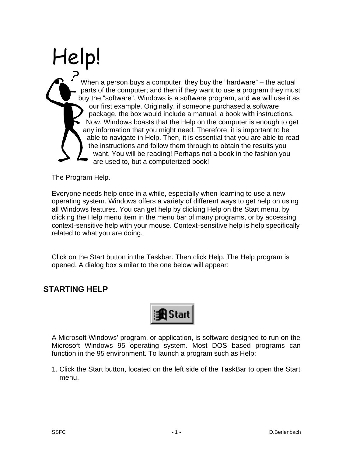# Help! When a person buys a computer, they buy the "hardware" – the actual parts of the computer; and then if they want to use a program they must buy the "software". Windows is a software program, and we will use it as our first example. Originally, if someone purchased a software package, the box would include a manual, a book with instructions. Now, Windows boasts that the Help on the computer is enough to get any information that you might need. Therefore, it is important to be able to navigate in Help. Then, it is essential that you are able to read the instructions and follow them through to obtain the results you want. You will be reading! Perhaps not a book in the fashion you are used to, but a computerized book!

The Program Help.

Everyone needs help once in a while, especially when learning to use a new operating system. Windows offers a variety of different ways to get help on using all Windows features. You can get help by clicking Help on the Start menu, by clicking the Help menu item in the menu bar of many programs, or by accessing context-sensitive help with your mouse. Context-sensitive help is help specifically related to what you are doing.

Click on the Start button in the Taskbar. Then click Help. The Help program is opened. A dialog box similar to the one below will appear:

# **STARTING HELP**



A Microsoft Windows' program, or application, is software designed to run on the Microsoft Windows 95 operating system. Most DOS based programs can function in the 95 environment. To launch a program such as Help:

1. Click the Start button, located on the left side of the TaskBar to open the Start menu.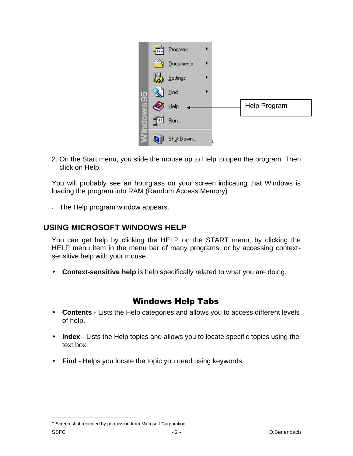

2. On the Start menu, you slide the mouse up to Help to open the program. Then click on Help.

You will probably see an hourglass on your screen indicating that Windows is loading the program into RAM (Random Access Memory)

• The Help program window appears.

# **USING MICROSOFT WINDOWS HELP**

You can get help by clicking the HELP on the START menu, by clicking the HELP menu item in the menu bar of many programs, or by accessing contextsensitive help with your mouse.

• **Context-sensitive help** is help specifically related to what you are doing.

# Windows Help Tabs

- **Contents** Lists the Help categories and allows you to access different levels of help.
- **Index** Lists the Help topics and allows you to locate specific topics using the text box.
- **Find** Helps you locate the topic you need using keywords.

 $\overline{a}$ 

SSFC - 2 - D.Berlenbach  $1$  Screen shot reprinted by permission from Microsoft Corporation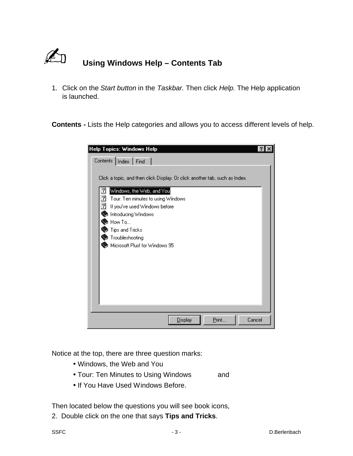

1. Click on the *Start button* in the *Taskbar.* Then click *Help.* The Help application is launched.

**Contents -** Lists the Help categories and allows you to access different levels of help.

| <b>Help Topics: Windows Help</b>                                                                                                                                                                                                                                                                                                                                              |  |
|-------------------------------------------------------------------------------------------------------------------------------------------------------------------------------------------------------------------------------------------------------------------------------------------------------------------------------------------------------------------------------|--|
| Contents   Index   Find                                                                                                                                                                                                                                                                                                                                                       |  |
| Click a topic, and then click Display. Or click another tab, such as Index.<br>Windows, the Web, and You<br>$\overline{\mathbf{c}}$<br>$\overline{?}$<br>Tour: Ten minutes to using Windows<br>$\overline{2}$<br>If you've used Windows before<br>Introducing Windows<br>$\blacktriangleright$ How To<br>Tips and Tricks<br>Troubleshooting<br>Microsoft Plus! for Windows 95 |  |
|                                                                                                                                                                                                                                                                                                                                                                               |  |
| Print<br>Cancel<br>Display                                                                                                                                                                                                                                                                                                                                                    |  |

Notice at the top, there are three question marks:

- Windows, the Web and You
- Tour: Ten Minutes to Using Windows and
- If You Have Used Windows Before.

Then located below the questions you will see book icons,

2. Double click on the one that says **Tips and Tricks**.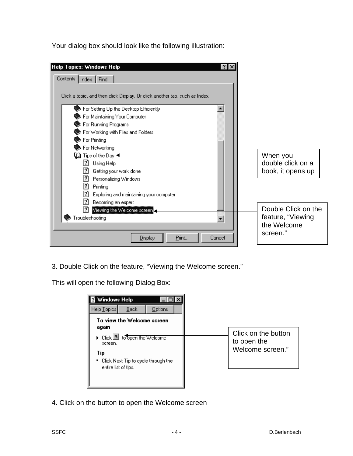Your dialog box should look like the following illustration:

| Help Topics: Windows Help<br><b>?IX</b><br>Contents   Index   Find                                                                                                                                                                                                                                                                                                                                                                                                                                                      |                                                                     |
|-------------------------------------------------------------------------------------------------------------------------------------------------------------------------------------------------------------------------------------------------------------------------------------------------------------------------------------------------------------------------------------------------------------------------------------------------------------------------------------------------------------------------|---------------------------------------------------------------------|
| Click a topic, and then click Display. Or click another tab, such as Index.<br>For Setting Up the Desktop Efficiently<br>For Maintaining Your Computer<br>For Running Programs<br>For Working with Files and Folders<br>For Printing<br>For Networking<br>$\begin{smallmatrix} 1 & 1 \end{smallmatrix}$ Tips of the Day $\blacktriangleleft$<br>2<br>Using Help<br>?<br>Getting your work done<br>$\overline{2}$<br>Personalizing Windows<br>$\overline{2}$<br>Printing<br>2<br>Exploring and maintaining your computer | When you<br>double click on a<br>book, it opens up                  |
| 7<br>Becoming an expert<br>21<br>Viewing the Welcome screen.<br>roubleshooting<br>Print<br><b>Display</b><br>Cancel                                                                                                                                                                                                                                                                                                                                                                                                     | Double Click on the<br>feature, "Viewing<br>the Welcome<br>screen." |

3. Double Click on the feature, "Viewing the Welcome screen."

This will open the following Dialog Box:

| Windows Help                                                       |                                                        |
|--------------------------------------------------------------------|--------------------------------------------------------|
| Help Topics<br>Options<br>Back                                     |                                                        |
| To view the Welcome screen<br>again                                |                                                        |
| ▶ Click <b>b</b> to open the Welcome<br>screen.<br>Tip             | Click on the button<br>to open the<br>Welcome screen." |
| - Click Next Tip to cycle through the<br>٠<br>entire list of tips. |                                                        |
|                                                                    |                                                        |

4. Click on the button to open the Welcome screen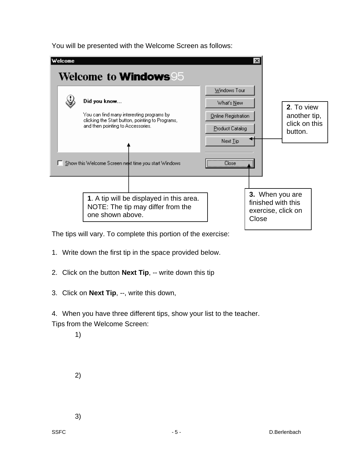

You will be presented with the Welcome Screen as follows:

The tips will vary. To complete this portion of the exercise:

**1**. A tip will be displayed in this area. NOTE: The tip may differ from the

- 1. Write down the first tip in the space provided below.
- 2. Click on the button **Next Tip**, -- write down this tip
- 3. Click on **Next Tip**, --, write this down,

one shown above.

Show this Welcome Screen next time you start Windows

4. When you have three different tips, show your list to the teacher. Tips from the Welcome Screen:

1)

2)

3)

**3.** When you are finished with this exercise, click on

**Close** 

**Close**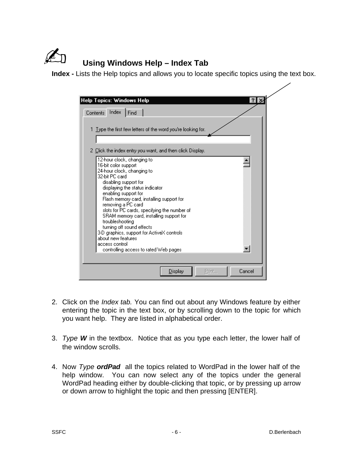

**Index -** Lists the Help topics and allows you to locate specific topics using the text box.

| <b>Help Topics: Windows Help</b><br>31                             |  |
|--------------------------------------------------------------------|--|
| Contents Index<br>Find                                             |  |
|                                                                    |  |
|                                                                    |  |
| 1 Type the first few letters of the word you're looking for.       |  |
|                                                                    |  |
| 2 Click the index entry you want, and then click Display.          |  |
|                                                                    |  |
| 12-hour clock, changing to<br>16-bit color support                 |  |
| 24-hour clock, changing to                                         |  |
| 32-bit PC card                                                     |  |
| disabling support for<br>displaying the status indicator           |  |
| enabling support for                                               |  |
| Flash memory card, installing support for                          |  |
| removing a PC card<br>slots for PC cards, specifying the number of |  |
| SRAM memory card, installing support for                           |  |
| troubleshooting                                                    |  |
| turning off sound effects                                          |  |
| 3-D graphics, support for ActiveX controls<br>about new features   |  |
| access control                                                     |  |
| controlling access to rated Web pages                              |  |
|                                                                    |  |
|                                                                    |  |
| Print<br>Cancel<br><u>D</u> isplay                                 |  |

- 2. Click on the *Index tab.* You can find out about any Windows feature by either entering the topic in the text box, or by scrolling down to the topic for which you want help. They are listed in alphabetical order.
- 3. *Type W* in the textbox. Notice that as you type each letter, the lower half of the window scrolls.
- 4. Now *Type ordPad* all the topics related to WordPad in the lower half of the help window. You can now select any of the topics under the general WordPad heading either by double-clicking that topic, or by pressing up arrow or down arrow to highlight the topic and then pressing [ENTER].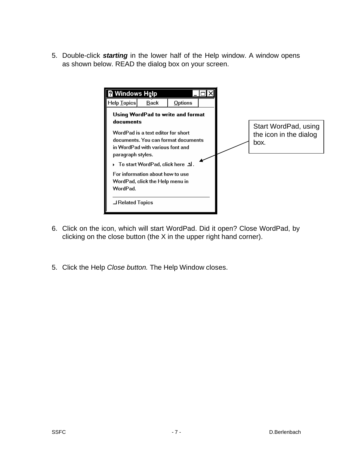5. Double-click *starting* in the lower half of the Help window. A window opens as shown below. READ the dialog box on your screen.



- 6. Click on the icon, which will start WordPad. Did it open? Close WordPad, by clicking on the close button (the X in the upper right hand corner).
- 5. Click the Help *Close button.* The Help Window closes.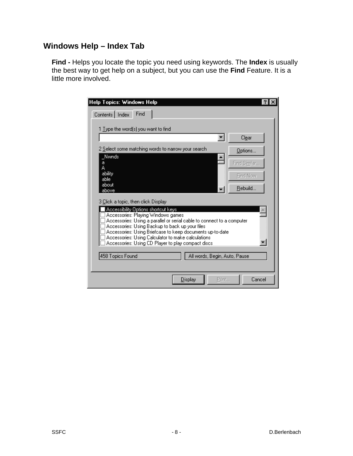# **Windows Help – Index Tab**

**Find -** Helps you locate the topic you need using keywords. The **Index** is usually the best way to get help on a subject, but you can use the **Find** Feature. It is a little more involved.

| <b>Help Topics: Windows Help</b>                                                                             |              |
|--------------------------------------------------------------------------------------------------------------|--------------|
| Contents   Index<br>Find                                                                                     |              |
|                                                                                                              |              |
| 1 Type the word(s) you want to find                                                                          |              |
|                                                                                                              | Clear        |
| 2 Select some matching words to narrow your search                                                           | Options      |
| Nwnds                                                                                                        |              |
| a                                                                                                            | Find Similar |
| A<br>ability                                                                                                 |              |
| able                                                                                                         | Find Now     |
| about                                                                                                        |              |
| above                                                                                                        | Rebuild      |
|                                                                                                              |              |
| 3 Click a topic, then click Display                                                                          |              |
| Accessibility Options shortcut keys                                                                          |              |
| Accessories: Playing Windows games<br>Accessories: Using a parallel or serial cable to connect to a computer |              |
| Accessories: Using Backup to back up your files                                                              |              |
| Accessories: Using Briefcase to keep documents up-to-date                                                    |              |
| Accessories: Using Calculator to make calculations                                                           |              |
| Accessories: Using CD Player to play compact discs                                                           |              |
|                                                                                                              |              |
| 458 Topics Found<br>All words, Begin, Auto, Pause                                                            |              |
|                                                                                                              |              |
| <b>Display</b><br>Print                                                                                      | Cancel       |
|                                                                                                              |              |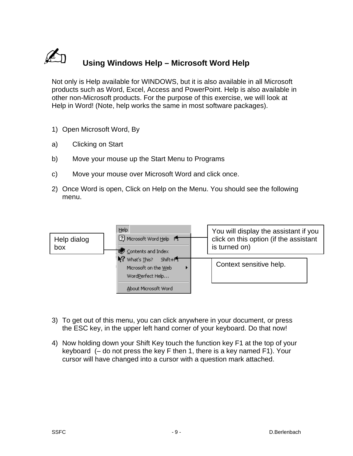

# N **Using Windows Help – Microsoft Word Help**

Not only is Help available for WINDOWS, but it is also available in all Microsoft products such as Word, Excel, Access and PowerPoint. Help is also available in other non-Microsoft products. For the purpose of this exercise, we will look at Help in Word! (Note, help works the same in most software packages).

- 1) Open Microsoft Word, By
- a) Clicking on Start
- b) Move your mouse up the Start Menu to Programs
- c) Move your mouse over Microsoft Word and click once.
- 2) Once Word is open, Click on Help on the Menu. You should see the following menu.



- 3) To get out of this menu, you can click anywhere in your document, or press the ESC key, in the upper left hand corner of your keyboard. Do that now!
- 4) Now holding down your Shift Key touch the function key F1 at the top of your keyboard (– do not press the key F then 1, there is a key named F1). Your cursor will have changed into a cursor with a question mark attached.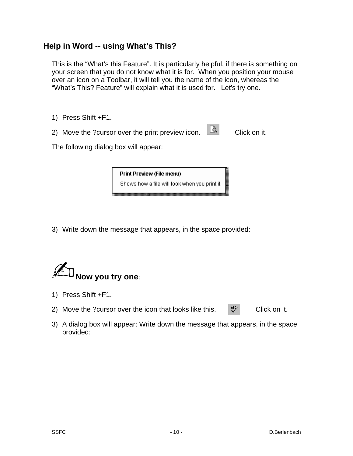#### **Help in Word -- using What's This?**

This is the "What's this Feature". It is particularly helpful, if there is something on your screen that you do not know what it is for. When you position your mouse over an icon on a Toolbar, it will tell you the name of the icon, whereas the "What's This? Feature" will explain what it is used for. Let's try one.

- 1) Press Shift +F1.
- 2) Move the ?cursor over the print preview icon.  $\Box$  Click on it.

The following dialog box will appear:

**Print Preview (File menu)** Shows how a file will look when you print it.

3) Write down the message that appears, in the space provided:



- 1) Press Shift +F1.
- 2) Move the ?cursor over the icon that looks like this.  $\mathbb{R}^n$  Click on it.
- 3) A dialog box will appear: Write down the message that appears, in the space provided: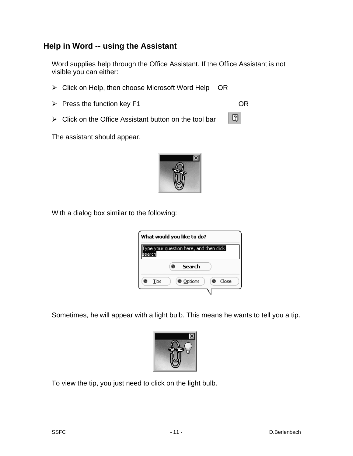# **Help in Word -- using the Assistant**

Word supplies help through the Office Assistant. If the Office Assistant is not visible you can either:

- $\triangleright$  Click on Help, then choose Microsoft Word Help OR
- ▶ Press the function key F1 OR
- $\triangleright$  Click on the Office Assistant button on the tool bar

The assistant should appear.



0

With a dialog box similar to the following:

|      | What would you like to do?             |
|------|----------------------------------------|
|      | ype your question here, and then click |
|      | Search                                 |
| Tips | Close<br><b>O</b> Options              |
|      |                                        |

Sometimes, he will appear with a light bulb. This means he wants to tell you a tip.



To view the tip, you just need to click on the light bulb.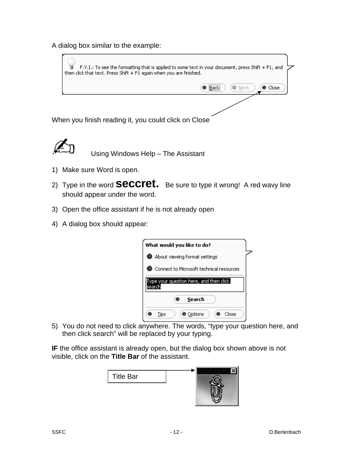A dialog box similar to the example:





- 1) Make sure Word is open.
- 2) Type in the word **seccret.** Be sure to type it wrong! A red wavy line should appear under the word.
- 3) Open the office assistant if he is not already open
- 4) A dialog box should appear:

|       | What would you like to do?               |  |
|-------|------------------------------------------|--|
|       | About viewing format settings            |  |
|       | Connect to Microsoft technical resources |  |
| searr | ype your question here, and then click   |  |
|       |                                          |  |
|       | Search                                   |  |

5) You do not need to click anywhere. The words, "type your question here, and then click search" will be replaced by your typing.

**IF** the office assistant is already open, but the dialog box shown above is not visible, click on the **Title Bar** of the assistant.

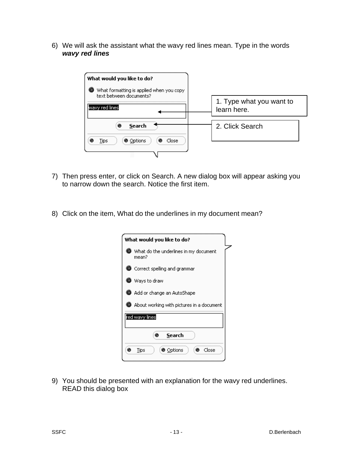6) We will ask the assistant what the wavy red lines mean. Type in the words *wavy red lines*



- 7) Then press enter, or click on Search. A new dialog box will appear asking you to narrow down the search. Notice the first item.
- 8) Click on the item, What do the underlines in my document mean?

| What would you like to do?                     |
|------------------------------------------------|
| What do the underlines in my document<br>mean? |
| $\bullet$ Correct spelling and grammar         |
| Ways to draw                                   |
| Add or change an AutoShape                     |
| About working with pictures in a document (    |
| red wavy lines                                 |
| Search                                         |
| Close<br>● Options<br>Tips                     |

9) You should be presented with an explanation for the wavy red underlines. READ this dialog box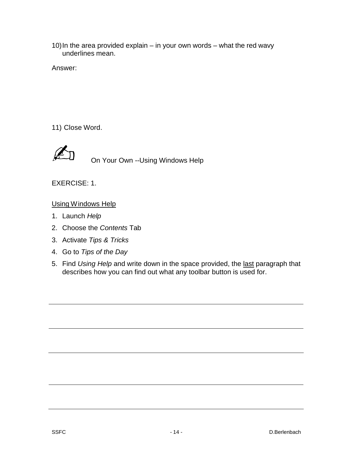10)In the area provided explain – in your own words – what the red wavy underlines mean.

Answer:

11) Close Word.



**AN On Your Own --Using Windows Help** 

EXERCISE: 1.

#### Using Windows Help

- 1. Launch *Help*
- 2. Choose the *Contents* Tab
- 3. Activate *Tips & Tricks*
- 4. Go to *Tips of the Day*
- 5. Find *Using Help* and write down in the space provided, the last paragraph that describes how you can find out what any toolbar button is used for.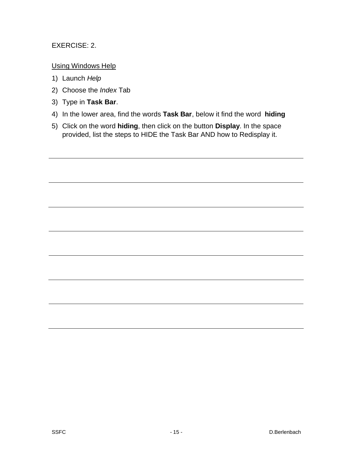#### EXERCISE: 2.

#### Using Windows Help

- 1) Launch *Help*
- 2) Choose the *Index* Tab
- 3) Type in **Task Bar**.
- 4) In the lower area, find the words **Task Bar**, below it find the word **hiding**
- 5) Click on the word **hiding**, then click on the button **Display**. In the space provided, list the steps to HIDE the Task Bar AND how to Redisplay it.